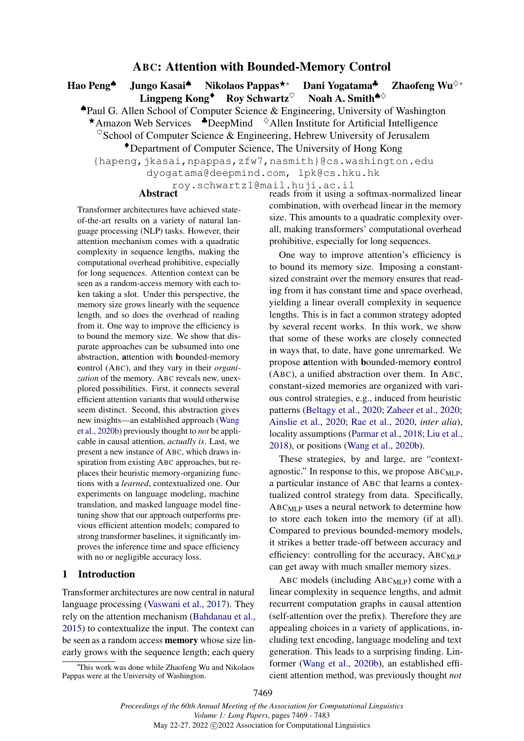# ABC: Attention with Bounded-Memory Control

<span id="page-0-0"></span>Hao Peng<sup>▲</sup> Jungo Kasai<sup>▲</sup> Nikolaos Pappas<sup>★</sup>\* Dani Yogatama<sup>▲</sup> Zhaofeng Wu<sup>◇</sup>\*<br>Lingpeng Kong<sup>◆</sup> Roy Schwartz<sup>♡</sup> Noah A. Smith<sup>▲◇</sup> Lingpeng Kong<sup>◆</sup> Roy Schwartz<sup>♡</sup> Noah A. Smith<sup>◆◇</sup>

♠Paul G. Allen School of Computer Science & Engineering, University of Washington **★Amazon Web Services ◆DeepMind** ◇Allen Institute for Artificial Intelligence

 $\degree$ School of Computer Science & Engineering, Hebrew University of Jerusalem

♦Department of Computer Science, The University of Hong Kong

{hapeng,jkasai,npappas,zfw7,nasmith}@cs.washington.edu

dyogatama@deepmind.com, lpk@cs.hku.hk

roy.schwartz1@mail.huji.ac.il

Transformer architectures have achieved stateof-the-art results on a variety of natural language processing (NLP) tasks. However, their attention mechanism comes with a quadratic complexity in sequence lengths, making the computational overhead prohibitive, especially for long sequences. Attention context can be seen as a random-access memory with each token taking a slot. Under this perspective, the memory size grows linearly with the sequence length, and so does the overhead of reading from it. One way to improve the efficiency is to bound the memory size. We show that disparate approaches can be subsumed into one abstraction, attention with bounded-memory control (ABC), and they vary in their *organization* of the memory. ABC reveals new, unexplored possibilities. First, it connects several efficient attention variants that would otherwise seem distinct. Second, this abstraction gives new insights—an established approach [\(Wang](#page-10-0) [et al.,](#page-10-0) [2020b\)](#page-10-0) previously thought to *not* be applicable in causal attention, *actually is*. Last, we present a new instance of ABC, which draws inspiration from existing ABC approaches, but replaces their heuristic memory-organizing functions with a *learned*, contextualized one. Our experiments on language modeling, machine translation, and masked language model finetuning show that our approach outperforms previous efficient attention models; compared to strong transformer baselines, it significantly improves the inference time and space efficiency with no or negligible accuracy loss.

# 1 Introduction

Transformer architectures are now central in natural language processing [\(Vaswani et al.,](#page-10-1) [2017\)](#page-10-1). They rely on the attention mechanism [\(Bahdanau et al.,](#page-8-0) [2015\)](#page-8-0) to contextualize the input. The context can be seen as a random access memory whose size linearly grows with the sequence length; each query

<sup>∗</sup>This work was done while Zhaofeng Wu and Nikolaos Pappas were at the University of Washington.

Abstract **reads** from it using a softmax-normalized linear combination, with overhead linear in the memory size. This amounts to a quadratic complexity overall, making transformers' computational overhead prohibitive, especially for long sequences.

> One way to improve attention's efficiency is to bound its memory size. Imposing a constantsized constraint over the memory ensures that reading from it has constant time and space overhead, yielding a linear overall complexity in sequence lengths. This is in fact a common strategy adopted by several recent works. In this work, we show that some of these works are closely connected in ways that, to date, have gone unremarked. We propose attention with bounded-memory control (ABC), a unified abstraction over them. In ABC, constant-sized memories are organized with various control strategies, e.g., induced from heuristic patterns [\(Beltagy et al.,](#page-8-1) [2020;](#page-8-1) [Zaheer et al.,](#page-10-2) [2020;](#page-10-2) [Ainslie et al.,](#page-8-2) [2020;](#page-8-2) [Rae et al.,](#page-9-0) [2020,](#page-9-0) *inter alia*), locality assumptions [\(Parmar et al.,](#page-9-1) [2018;](#page-9-1) [Liu et al.,](#page-9-2) [2018\)](#page-9-2), or positions [\(Wang et al.,](#page-10-0) [2020b\)](#page-10-0).

> These strategies, by and large, are "contextagnostic." In response to this, we propose  $ABC_{MLP}$ , a particular instance of ABC that learns a contextualized control strategy from data. Specifically, ABCMLP uses a neural network to determine how to store each token into the memory (if at all). Compared to previous bounded-memory models, it strikes a better trade-off between accuracy and efficiency: controlling for the accuracy, ABC<sub>MLP</sub> can get away with much smaller memory sizes.

> ABC models (including  $ABC_{MLP}$ ) come with a linear complexity in sequence lengths, and admit recurrent computation graphs in causal attention (self-attention over the prefix). Therefore they are appealing choices in a variety of applications, including text encoding, language modeling and text generation. This leads to a surprising finding. Linformer [\(Wang et al.,](#page-10-0) [2020b\)](#page-10-0), an established efficient attention method, was previously thought *not*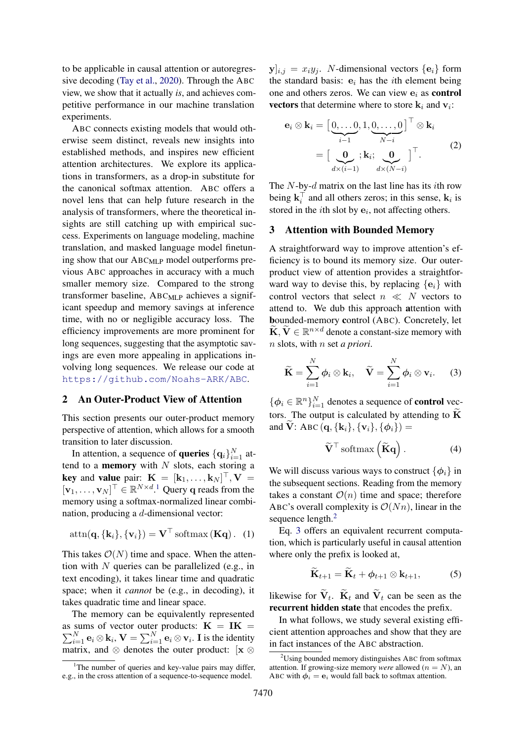to be applicable in causal attention or autoregressive decoding [\(Tay et al.,](#page-10-3) [2020\)](#page-10-3). Through the ABC view, we show that it actually *is*, and achieves competitive performance in our machine translation experiments.

ABC connects existing models that would otherwise seem distinct, reveals new insights into established methods, and inspires new efficient attention architectures. We explore its applications in transformers, as a drop-in substitute for the canonical softmax attention. ABC offers a novel lens that can help future research in the analysis of transformers, where the theoretical insights are still catching up with empirical success. Experiments on language modeling, machine translation, and masked language model finetuning show that our ABCMLP model outperforms previous ABC approaches in accuracy with a much smaller memory size. Compared to the strong transformer baseline, ABCMLP achieves a significant speedup and memory savings at inference time, with no or negligible accuracy loss. The efficiency improvements are more prominent for long sequences, suggesting that the asymptotic savings are even more appealing in applications involving long sequences. We release our code at <https://github.com/Noahs-ARK/ABC>.

### 2 An Outer-Product View of Attention

This section presents our outer-product memory perspective of attention, which allows for a smooth transition to later discussion.

In attention, a sequence of **queries**  $\{\mathbf{q}_i\}_{i=1}^N$  attend to a **memory** with  $N$  slots, each storing a **key** and **value** pair:  $\mathbf{K} = [\mathbf{k}_1, \dots, \mathbf{k}_N]^{\top}, \mathbf{V} =$  $[\mathbf{v}_1, \dots, \mathbf{v}_N]^\top \in \mathbb{R}^{N \times d}$  $[\mathbf{v}_1, \dots, \mathbf{v}_N]^\top \in \mathbb{R}^{N \times d}$  $[\mathbf{v}_1, \dots, \mathbf{v}_N]^\top \in \mathbb{R}^{N \times d}$ .<sup>1</sup> Query q reads from the memory using a softmax-normalized linear combination, producing a d-dimensional vector:

$$
attn(\mathbf{q}, {\mathbf{k}_i}, {\mathbf{v}_i}) = \mathbf{V}^\top \operatorname{softmax}(\mathbf{Kq}). \quad (1)
$$

This takes  $\mathcal{O}(N)$  time and space. When the attention with  $N$  queries can be parallelized (e.g., in text encoding), it takes linear time and quadratic space; when it *cannot* be (e.g., in decoding), it takes quadratic time and linear space.

The memory can be equivalently represented as sums of vector outer products:  $\mathbf{K} = \mathbf{IK} =$  $\sum_{i=1}^{N} \mathbf{e}_i \otimes \mathbf{k}_i$ ,  $\mathbf{V} = \sum_{i=1}^{N} \mathbf{e}_i \otimes \mathbf{v}_i$ . I is the identity matrix, and  $\otimes$  denotes the outer product: [x  $\otimes$ 

 $y|_{i,j} = x_i y_j$ . *N*-dimensional vectors  $\{e_i\}$  form the standard basis:  $e_i$  has the *i*th element being one and others zeros. We can view  $e_i$  as **control vectors** that determine where to store  $\mathbf{k}_i$  and  $\mathbf{v}_i$ :

$$
\mathbf{e}_{i} \otimes \mathbf{k}_{i} = \left[\underbrace{0, \dots 0}_{i-1}, 1, \underbrace{0, \dots, 0}_{N-i}\right]^{\top} \otimes \mathbf{k}_{i}
$$
\n
$$
= \left[\underbrace{\mathbf{0}}_{d \times (i-1)}, \mathbf{k}_{i}; \underbrace{\mathbf{0}}_{d \times (N-i)}\right]^{\top}.
$$
\n(2)

The  $N$ -by- $d$  matrix on the last line has its *i*th row being  $\mathbf{k}_i^{\top}$  and all others zeros; in this sense,  $\mathbf{k}_i$  is stored in the *i*th slot by  $e_i$ , not affecting others.

### 3 Attention with Bounded Memory

A straightforward way to improve attention's efficiency is to bound its memory size. Our outerproduct view of attention provides a straightforward way to devise this, by replacing  $\{e_i\}$  with control vectors that select  $n \ll N$  vectors to attend to. We dub this approach attention with bounded-memory control (ABC). Concretely, let  $\widetilde{\mathbf{K}}, \widetilde{\mathbf{V}} \in \mathbb{R}^{n \times d}$  denote a constant-size memory with n slots, with n set *a priori*.

$$
\widetilde{\mathbf{K}} = \sum_{i=1}^{N} \boldsymbol{\phi}_i \otimes \mathbf{k}_i, \quad \widetilde{\mathbf{V}} = \sum_{i=1}^{N} \boldsymbol{\phi}_i \otimes \mathbf{v}_i. \quad (3)
$$

 $\{\phi_i \in \mathbb{R}^n\}_{i=1}^N$  denotes a sequence of **control** vectors. The output is calculated by attending to  $\tilde{K}$ and **V**: ABC (**q**, {**k**<sub>i</sub>}, {**v**<sub>i</sub>}, { $\phi$ <sub>i</sub>}) =

<span id="page-1-3"></span><span id="page-1-2"></span>
$$
\widetilde{\mathbf{V}}^{\top} \operatorname{softmax}\left(\widetilde{\mathbf{K}}\mathbf{q}\right). \tag{4}
$$

We will discuss various ways to construct  $\{\phi_i\}$  in the subsequent sections. Reading from the memory takes a constant  $\mathcal{O}(n)$  time and space; therefore ABC's overall complexity is  $\mathcal{O}(Nn)$ , linear in the sequence length.<sup>[2](#page-1-1)</sup>

Eq. [3](#page-1-2) offers an equivalent recurrent computation, which is particularly useful in causal attention where only the prefix is looked at,

<span id="page-1-4"></span>
$$
\widetilde{\mathbf{K}}_{t+1} = \widetilde{\mathbf{K}}_t + \boldsymbol{\phi}_{t+1} \otimes \mathbf{k}_{t+1},
$$
 (5)

likewise for  $V_t$ .  $K_t$  and  $V_t$  can be seen as the recurrent hidden state that encodes the prefix.

In what follows, we study several existing efficient attention approaches and show that they are in fact instances of the ABC abstraction.

<span id="page-1-0"></span>The number of queries and key-value pairs may differ, e.g., in the cross attention of a sequence-to-sequence model.

<span id="page-1-1"></span><sup>2</sup>Using bounded memory distinguishes ABC from softmax attention. If growing-size memory *were* allowed  $(n = N)$ , an ABC with  $\phi_i = e_i$  would fall back to softmax attention.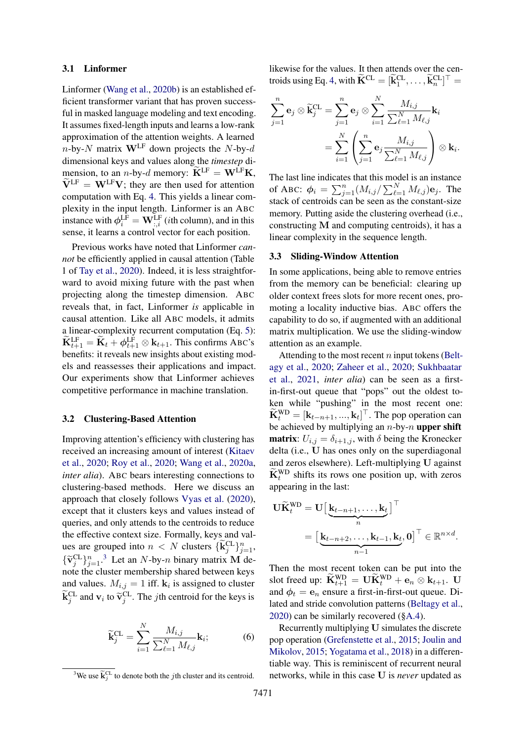### <span id="page-2-2"></span>3.1 Linformer

Linformer [\(Wang et al.,](#page-10-0) [2020b\)](#page-10-0) is an established efficient transformer variant that has proven successful in masked language modeling and text encoding. It assumes fixed-length inputs and learns a low-rank approximation of the attention weights. A learned  $n$ -by-N matrix  $W^{LF}$  down projects the N-by-d dimensional keys and values along the *timestep* dimension, to an *n*-by-*d* memory:  $\widetilde{\mathbf{K}}^{\text{LF}} = \mathbf{W}^{\text{LF}} \mathbf{K}$ ,  $\widetilde{V}^{LF} = W^{LF}V$ ; they are then used for attention computation with Eq. [4.](#page-1-3) This yields a linear complexity in the input length. Linformer is an ABC instance with  $\phi_i^{\text{LF}} = \mathbf{W}_{:,i}^{\text{LF}}$  (*i*th column), and in this sense, it learns a control vector for each position.

Previous works have noted that Linformer *cannot* be efficiently applied in causal attention (Table 1 of [Tay et al.,](#page-10-3) [2020\)](#page-10-3). Indeed, it is less straightforward to avoid mixing future with the past when projecting along the timestep dimension. ABC reveals that, in fact, Linformer *is* applicable in causal attention. Like all ABC models, it admits a linear-complexity recurrent computation (Eq. [5\)](#page-1-4):  $\widetilde{\mathbf{K}}_{t+1}^{\text{LF}} = \widetilde{\mathbf{K}}_t + \phi_{t+1}^{\text{LF}} \otimes \mathbf{k}_{t+1}$ . This confirms ABC's benefits: it reveals new insights about existing models and reassesses their applications and impact. Our experiments show that Linformer achieves competitive performance in machine translation.

### <span id="page-2-3"></span>3.2 Clustering-Based Attention

Improving attention's efficiency with clustering has received an increasing amount of interest [\(Kitaev](#page-9-3) [et al.,](#page-9-3) [2020;](#page-9-3) [Roy et al.,](#page-9-4) [2020;](#page-9-4) [Wang et al.,](#page-10-4) [2020a,](#page-10-4) *inter alia*). ABC bears interesting connections to clustering-based methods. Here we discuss an approach that closely follows [Vyas et al.](#page-10-5) [\(2020\)](#page-10-5), except that it clusters keys and values instead of queries, and only attends to the centroids to reduce the effective context size. Formally, keys and values are grouped into  $n < N$  clusters  $\{\widetilde{\mathbf{k}}_j^{\text{CL}}\}_{j=1}^n$ ,  $\{\widetilde{v}_j^{\text{CL}}\}_{j=1}^n$ .<sup>[3](#page-2-0)</sup> Let an N-by-n binary matrix **M** denote the cluster membership shared between keys and values.  $M_{i,j} = 1$  iff.  $k_i$  is assigned to cluster  $\widetilde{\mathbf{k}}_j^{\text{CL}}$  and  $\mathbf{v}_i$  to  $\widetilde{\mathbf{v}}_j^{\text{CL}}$ . The *j*th centroid for the keys is

$$
\widetilde{\mathbf{k}}_{j}^{\mathrm{CL}} = \sum_{i=1}^{N} \frac{M_{i,j}}{\sum_{\ell=1}^{N} M_{\ell,j}} \mathbf{k}_{i};
$$
\n(6)

likewise for the values. It then attends over the cen-troids using Eq. [4,](#page-1-3) with  $\widetilde{\mathbf{K}}^{CL} = [\widetilde{\mathbf{k}}_1^{CL}, \dots, \widetilde{\mathbf{k}}_n^{CL}]^\top$ 

$$
\sum_{j=1}^{n} \mathbf{e}_{j} \otimes \widetilde{\mathbf{k}}_{j}^{\text{CL}} = \sum_{j=1}^{n} \mathbf{e}_{j} \otimes \sum_{i=1}^{N} \frac{M_{i,j}}{\sum_{\ell=1}^{N} M_{\ell,j}} \mathbf{k}_{i}
$$

$$
= \sum_{i=1}^{N} \left( \sum_{j=1}^{n} \mathbf{e}_{j} \frac{M_{i,j}}{\sum_{\ell=1}^{N} M_{\ell,j}} \right) \otimes \mathbf{k}_{i}.
$$

The last line indicates that this model is an instance of ABC:  $\phi_i = \sum_{j=1}^n (M_{i,j}/\sum_{\ell=1}^N M_{\ell,j}) \mathbf{e}_j$ . The stack of centroids can be seen as the constant-size memory. Putting aside the clustering overhead (i.e., constructing M and computing centroids), it has a linear complexity in the sequence length.

### <span id="page-2-1"></span>3.3 Sliding-Window Attention

In some applications, being able to remove entries from the memory can be beneficial: clearing up older context frees slots for more recent ones, promoting a locality inductive bias. ABC offers the capability to do so, if augmented with an additional matrix multiplication. We use the sliding-window attention as an example.

Attending to the most recent  $n$  input tokens [\(Belt](#page-8-1)[agy et al.,](#page-8-1) [2020;](#page-8-1) [Zaheer et al.,](#page-10-2) [2020;](#page-10-2) [Sukhbaatar](#page-10-6) [et al.,](#page-10-6) [2021,](#page-10-6) *inter alia*) can be seen as a firstin-first-out queue that "pops" out the oldest token while "pushing" in the most recent one:  $\widetilde{\mathbf{K}}_t^{\text{WD}} = [\mathbf{k}_{t-n+1}, ..., \mathbf{k}_t]^\top$ . The pop operation can be achieved by multiplying an  $n$ -by- $n$  upper shift **matrix**:  $U_{i,j} = \delta_{i+1,j}$ , with  $\delta$  being the Kronecker delta (i.e., U has ones only on the superdiagonal and zeros elsewhere). Left-multiplying U against  $\widetilde{\mathbf{K}}_t^{\text{WD}}$  shifts its rows one position up, with zeros appearing in the last:

$$
\mathbf{U}\widetilde{\mathbf{K}}_t^{\text{WD}} = \mathbf{U} \Big[ \underbrace{\mathbf{k}_{t-n+1}, \dots, \mathbf{k}_t}_{n} \Big]^{\top}
$$
\n
$$
= \Big[ \underbrace{\mathbf{k}_{t-n+2}, \dots, \mathbf{k}_{t-1}, \mathbf{k}_t}_{n-1}, \mathbf{0} \Big]^{\top} \in \mathbb{R}^{n \times d}.
$$

Then the most recent token can be put into the slot freed up:  $\mathbf{K}_{t+1}^{\text{WD}} = \mathbf{U} \mathbf{K}_{t}^{\text{WD}} + \mathbf{e}_n \otimes \mathbf{k}_{t+1}$ . U and  $\phi_t = e_n$  ensure a first-in-first-out queue. Dilated and stride convolution patterns [\(Beltagy et al.,](#page-8-1) [2020\)](#page-8-1) can be similarly recovered ([§A.4\)](#page-11-0).

Recurrently multiplying U simulates the discrete pop operation [\(Grefenstette et al.,](#page-9-5) [2015;](#page-9-5) [Joulin and](#page-9-6) [Mikolov,](#page-9-6) [2015;](#page-9-6) [Yogatama et al.,](#page-10-7) [2018\)](#page-10-7) in a differentiable way. This is reminiscent of recurrent neural networks, while in this case U is *never* updated as

<span id="page-2-0"></span><sup>&</sup>lt;sup>3</sup>We use  $\widetilde{\mathbf{k}}_j^{\text{CL}}$  to denote both the *j*th cluster and its centroid.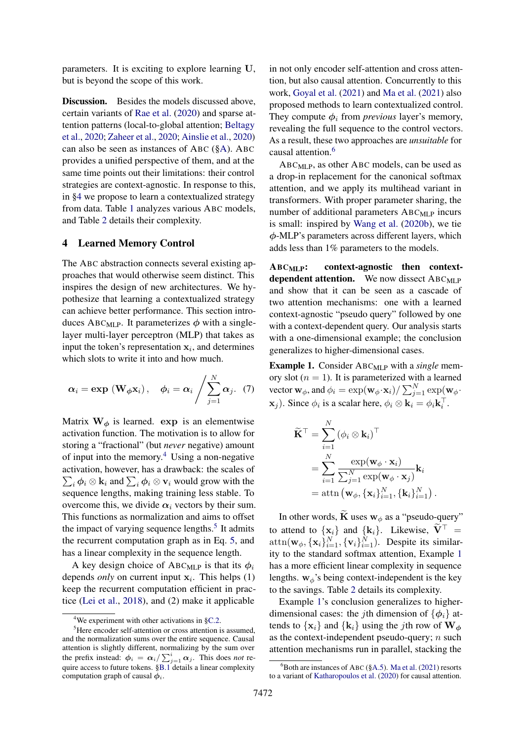parameters. It is exciting to explore learning U, but is beyond the scope of this work.

Discussion. Besides the models discussed above, certain variants of [Rae et al.](#page-9-0) [\(2020\)](#page-9-0) and sparse attention patterns (local-to-global attention; [Beltagy](#page-8-1) [et al.,](#page-8-1) [2020;](#page-8-1) [Zaheer et al.,](#page-10-2) [2020;](#page-10-2) [Ainslie et al.,](#page-8-2) [2020\)](#page-8-2) can also be seen as instances of ABC ([§A\)](#page-11-1). ABC provides a unified perspective of them, and at the same time points out their limitations: their control strategies are context-agnostic. In response to this, in [§4](#page-3-0) we propose to learn a contextualized strategy from data. Table [1](#page-4-0) analyzes various ABC models, and Table [2](#page-4-1) details their complexity.

### <span id="page-3-0"></span>4 Learned Memory Control

The ABC abstraction connects several existing approaches that would otherwise seem distinct. This inspires the design of new architectures. We hypothesize that learning a contextualized strategy can achieve better performance. This section introduces ABC<sub>MLP</sub>. It parameterizes  $\phi$  with a singlelayer multi-layer perceptron (MLP) that takes as input the token's representation  $x_i$ , and determines which slots to write it into and how much.

$$
\boldsymbol{\alpha}_i = \exp\left(\mathbf{W}_{\boldsymbol{\phi}}\mathbf{x}_i\right), \quad \boldsymbol{\phi}_i = \boldsymbol{\alpha}_i \middle/ \sum_{j=1}^N \boldsymbol{\alpha}_j. \quad (7)
$$

Matrix  $W_{\phi}$  is learned. exp is an elementwise activation function. The motivation is to allow for storing a "fractional" (but *never* negative) amount of input into the memory.[4](#page-3-1) Using a non-negative activation, however, has a drawback: the scales of  $\sum_i \phi_i \otimes \mathbf{k}_i$  and  $\sum_i \phi_i \otimes \mathbf{v}_i$  would grow with the sequence lengths, making training less stable. To overcome this, we divide  $\alpha_i$  vectors by their sum. This functions as normalization and aims to offset the impact of varying sequence lengths.<sup>[5](#page-3-2)</sup> It admits the recurrent computation graph as in Eq. [5,](#page-1-4) and has a linear complexity in the sequence length.

A key design choice of ABC<sub>MLP</sub> is that its  $\phi_i$ depends *only* on current input  $x_i$ . This helps  $(1)$ keep the recurrent computation efficient in practice [\(Lei et al.,](#page-9-7) [2018\)](#page-9-7), and (2) make it applicable in not only encoder self-attention and cross attention, but also causal attention. Concurrently to this work, [Goyal et al.](#page-9-8) [\(2021\)](#page-9-8) and [Ma et al.](#page-9-9) [\(2021\)](#page-9-9) also proposed methods to learn contextualized control. They compute  $\phi_i$  from *previous* layer's memory, revealing the full sequence to the control vectors. As a result, these two approaches are *unsuitable* for causal attention.<sup>[6](#page-3-3)</sup>

ABCMLP, as other ABC models, can be used as a drop-in replacement for the canonical softmax attention, and we apply its multihead variant in transformers. With proper parameter sharing, the number of additional parameters  $ABC_{MLP}$  incurs is small: inspired by [Wang et al.](#page-10-0) [\(2020b\)](#page-10-0), we tie ϕ-MLP's parameters across different layers, which adds less than 1% parameters to the models.

ABCMLP: context-agnostic then contextdependent attention. We now dissect  $ABC_{MLP}$ and show that it can be seen as a cascade of two attention mechanisms: one with a learned context-agnostic "pseudo query" followed by one with a context-dependent query. Our analysis starts with a one-dimensional example; the conclusion generalizes to higher-dimensional cases.

<span id="page-3-5"></span><span id="page-3-4"></span>Example 1. Consider ABC<sub>MLP</sub> with a *single* memory slot  $(n = 1)$ . It is parameterized with a learned vector  $\mathbf{w}_{\phi}$ , and  $\phi_i = \exp(\mathbf{w}_{\phi} \cdot \mathbf{x}_i) / \sum_{j=1}^{N} \exp(\mathbf{w}_{\phi} \cdot \mathbf{x}_j)$  $(\mathbf{x}_j)$ . Since  $\phi_i$  is a scalar here,  $\phi_i \otimes \mathbf{k}_i = \phi_i \mathbf{k}_i^{\top}$ .

$$
\tilde{\mathbf{K}}^{\top} = \sum_{i=1}^{N} (\phi_i \otimes \mathbf{k}_i)^{\top} \n= \sum_{i=1}^{N} \frac{\exp(\mathbf{w}_{\phi} \cdot \mathbf{x}_i)}{\sum_{j=1}^{N} \exp(\mathbf{w}_{\phi} \cdot \mathbf{x}_j)} \mathbf{k}_i \n= \text{attn} (\mathbf{w}_{\phi}, {\mathbf{x}_i}_{i=1}^{N}, {\mathbf{k}_i}_{i=1}^{N}).
$$

In other words,  $\widetilde{\mathbf{K}}$  uses  $\mathbf{w}_{\phi}$  as a "pseudo-query" to attend to  $\{x_i\}$  and  $\{k_i\}$ . Likewise,  $\tilde{V}^{\top}$  =  $\text{attn}(\mathbf{w}_{\phi}, {\{\mathbf{x}_i\}}_{i=1}^N, {\{\mathbf{v}_i\}}_{i=1}^N)$ . Despite its similarity to the standard softmax attention, Example [1](#page-3-4) has a more efficient linear complexity in sequence lengths.  $w_{\phi}$ 's being context-independent is the key to the savings. Table [2](#page-4-1) details its complexity.

Example [1'](#page-3-4)s conclusion generalizes to higherdimensional cases: the jth dimension of  $\{\phi_i\}$  attends to  $\{x_i\}$  and  $\{k_i\}$  using the *j*th row of  $W_{\phi}$ as the context-independent pseudo-query;  $n$  such attention mechanisms run in parallel, stacking the

<span id="page-3-2"></span><span id="page-3-1"></span><sup>4</sup>We experiment with other activations in [§C.2.](#page-12-0)

<sup>&</sup>lt;sup>5</sup>Here encoder self-attention or cross attention is assumed, and the normalization sums over the entire sequence. Causal attention is slightly different, normalizing by the sum over the prefix instead:  $\phi_i = \alpha_i / \sum_{j=1}^i \alpha_j$ . This does *not* require access to future tokens. [§B.1](#page-12-1) details a linear complexity computation graph of causal  $\phi_i$ .

<span id="page-3-3"></span> ${}^{6}$ Both are instances of ABC ([§A.5\)](#page-11-2). [Ma et al.](#page-9-9) [\(2021\)](#page-9-9) resorts to a variant of [Katharopoulos et al.](#page-9-10) [\(2020\)](#page-9-10) for causal attention.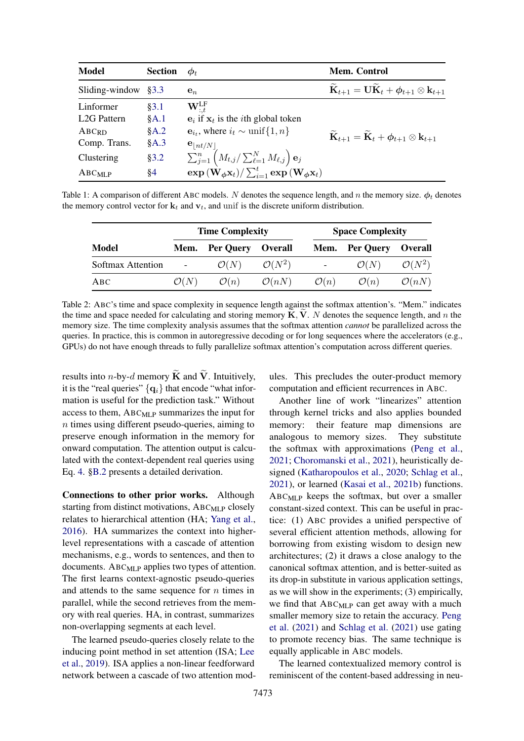<span id="page-4-0"></span>

| <b>Model</b>            | <b>Section</b> | $\boldsymbol{\varphi}_t$                                                                                                                       | <b>Mem.</b> Control                                                                                 |
|-------------------------|----------------|------------------------------------------------------------------------------------------------------------------------------------------------|-----------------------------------------------------------------------------------------------------|
| Sliding-window          | 83.3           | $e_n$                                                                                                                                          | $\mathbf{K}_{t+1} = \mathbf{U}\mathbf{K}_t + \boldsymbol{\phi}_{t+1} \otimes \mathbf{k}_{t+1}$      |
| Linformer               | §3.1           | $\mathbf{W}_{\cdot t}^{\rm LF}$                                                                                                                |                                                                                                     |
| L <sub>2G</sub> Pattern | §A.1           | $\mathbf{e}_i$ if $\mathbf{x}_t$ is the <i>i</i> th global token                                                                               |                                                                                                     |
| ABCRD                   | §A.2           | ${\bf e}_{i_t}$ , where $i_t \sim \text{unif} \{1, n\}$                                                                                        | $\widetilde{{\bf K}}_{t+1} = \widetilde{{\bf K}}_t + \boldsymbol{\phi}_{t+1} \otimes {\bf k}_{t+1}$ |
| Comp. Trans.            | §A.3           | ${\bf e}_{\lfloor nt/N\rfloor}$                                                                                                                |                                                                                                     |
| Clustering              | §3.2           | $\sum_{j=1}^n \left( M_{t,j} / \sum_{\ell=1}^N M_{\ell,j} \right) \mathbf{e}_j$                                                                |                                                                                                     |
| $ABC_{MLP}$             | §4             | $\exp\left(\hat{\mathbf{W}}_{\boldsymbol{\phi}}\mathbf{x}_t\right) / \sum_{i=1}^t \exp\left(\mathbf{W}_{\boldsymbol{\phi}}\mathbf{x}_t\right)$ |                                                                                                     |

<span id="page-4-1"></span>Table 1: A comparison of different ABC models. N denotes the sequence length, and n the memory size.  $\phi_t$  denotes the memory control vector for  $\mathbf{k}_t$  and  $\mathbf{v}_t$ , and unif is the discrete uniform distribution.

|                   |                  | <b>Time Complexity</b> |                    | <b>Space Complexity</b> |                  |                    |
|-------------------|------------------|------------------------|--------------------|-------------------------|------------------|--------------------|
| Model             |                  | Mem. Per Query Overall |                    |                         | Mem. Per Query   | <b>Overall</b>     |
| Softmax Attention |                  | $\mathcal{O}(N)$       | $\mathcal{O}(N^2)$ | $\sim 100$              | $\mathcal{O}(N)$ | $\mathcal{O}(N^2)$ |
| ABC               | $\mathcal{O}(N)$ | $\mathcal{O}(n)$       | $\mathcal{O}(nN)$  | $\mathcal{O}(n)$        | $\mathcal{O}(n)$ | $\mathcal{O}(nN)$  |

Table 2: ABC's time and space complexity in sequence length against the softmax attention's. "Mem." indicates the time and space needed for calculating and storing memory  $\tilde{K}$ ,  $\tilde{V}$ . N denotes the sequence length, and n the memory size. The time complexity analysis assumes that the softmax attention *cannot* be parallelized across the queries. In practice, this is common in autoregressive decoding or for long sequences where the accelerators (e.g., GPUs) do not have enough threads to fully parallelize softmax attention's computation across different queries.

results into *n*-by-*d* memory  $\tilde{K}$  and  $\tilde{V}$ . Intuitively, it is the "real queries"  $\{q_i\}$  that encode "what information is useful for the prediction task." Without access to them, ABC<sub>MLP</sub> summarizes the input for n times using different pseudo-queries, aiming to preserve enough information in the memory for onward computation. The attention output is calculated with the context-dependent real queries using Eq. [4.](#page-1-3) [§B.2](#page-12-2) presents a detailed derivation.

Connections to other prior works. Although starting from distinct motivations,  $ABC_{MLP}$  closely relates to hierarchical attention (HA; [Yang et al.,](#page-10-8) [2016\)](#page-10-8). HA summarizes the context into higherlevel representations with a cascade of attention mechanisms, e.g., words to sentences, and then to documents.  $ABC_{MLP}$  applies two types of attention. The first learns context-agnostic pseudo-queries and attends to the same sequence for  $n$  times in parallel, while the second retrieves from the memory with real queries. HA, in contrast, summarizes non-overlapping segments at each level.

The learned pseudo-queries closely relate to the inducing point method in set attention (ISA; [Lee](#page-9-11) [et al.,](#page-9-11) [2019\)](#page-9-11). ISA applies a non-linear feedforward network between a cascade of two attention modules. This precludes the outer-product memory computation and efficient recurrences in ABC.

Another line of work "linearizes" attention through kernel tricks and also applies bounded memory: their feature map dimensions are analogous to memory sizes. They substitute the softmax with approximations [\(Peng et al.,](#page-9-12) [2021;](#page-9-12) [Choromanski et al.,](#page-8-3) [2021\)](#page-8-3), heuristically designed [\(Katharopoulos et al.,](#page-9-10) [2020;](#page-9-10) [Schlag et al.,](#page-9-13) [2021\)](#page-9-13), or learned [\(Kasai et al.,](#page-9-14) [2021b\)](#page-9-14) functions. ABCMLP keeps the softmax, but over a smaller constant-sized context. This can be useful in practice: (1) ABC provides a unified perspective of several efficient attention methods, allowing for borrowing from existing wisdom to design new architectures; (2) it draws a close analogy to the canonical softmax attention, and is better-suited as its drop-in substitute in various application settings, as we will show in the experiments; (3) empirically, we find that ABC<sub>MLP</sub> can get away with a much smaller memory size to retain the accuracy. [Peng](#page-9-12) [et al.](#page-9-12) [\(2021\)](#page-9-12) and [Schlag et al.](#page-9-13) [\(2021\)](#page-9-13) use gating to promote recency bias. The same technique is equally applicable in ABC models.

The learned contextualized memory control is reminiscent of the content-based addressing in neu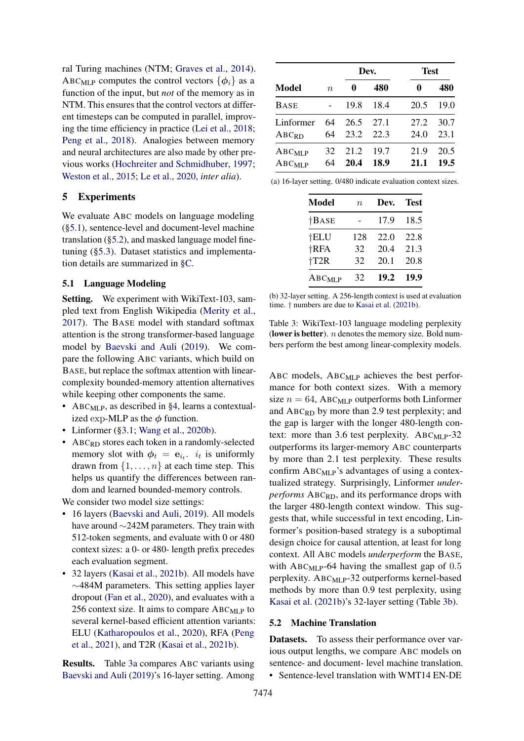ral Turing machines (NTM; [Graves et al.,](#page-9-15) [2014\)](#page-9-15). ABC<sub>MLP</sub> computes the control vectors  $\{\phi_i\}$  as a function of the input, but *not* of the memory as in NTM. This ensures that the control vectors at different timesteps can be computed in parallel, improving the time efficiency in practice [\(Lei et al.,](#page-9-7) [2018;](#page-9-7) [Peng et al.,](#page-9-16) [2018\)](#page-9-16). Analogies between memory and neural architectures are also made by other previous works [\(Hochreiter and Schmidhuber,](#page-9-17) [1997;](#page-9-17) [Weston et al.,](#page-10-9) [2015;](#page-10-9) [Le et al.,](#page-9-18) [2020,](#page-9-18) *inter alia*).

### 5 Experiments

We evaluate ABC models on language modeling ([§5.1\)](#page-5-0), sentence-level and document-level machine translation ([§5.2\)](#page-5-1), and masked language model finetuning ([§5.3\)](#page-6-0). Dataset statistics and implementation details are summarized in [§C.](#page-12-3)

# <span id="page-5-0"></span>5.1 Language Modeling

Setting. We experiment with WikiText-103, sampled text from English Wikipedia [\(Merity et al.,](#page-9-19) [2017\)](#page-9-19). The BASE model with standard softmax attention is the strong transformer-based language model by [Baevski and Auli](#page-8-4) [\(2019\)](#page-8-4). We compare the following ABC variants, which build on BASE, but replace the softmax attention with linearcomplexity bounded-memory attention alternatives while keeping other components the same.

- ABC<sub>MLP</sub>, as described in [§4,](#page-3-0) learns a contextualized exp-MLP as the  $\phi$  function.
- Linformer ([§3.1;](#page-2-2) [Wang et al.,](#page-10-0) [2020b\)](#page-10-0).
- ABC<sub>RD</sub> stores each token in a randomly-selected memory slot with  $\phi_t = e_{i_t}$ ,  $i_t$  is uniformly drawn from  $\{1, \ldots, n\}$  at each time step. This helps us quantify the differences between random and learned bounded-memory controls.

We consider two model size settings:

- 16 layers [\(Baevski and Auli,](#page-8-4) [2019\)](#page-8-4). All models have around ∼242M parameters. They train with 512-token segments, and evaluate with 0 or 480 context sizes: a 0- or 480- length prefix precedes each evaluation segment.
- 32 layers [\(Kasai et al.,](#page-9-14) [2021b\)](#page-9-14). All models have ∼484M parameters. This setting applies layer dropout [\(Fan et al.,](#page-8-5) [2020\)](#page-8-5), and evaluates with a 256 context size. It aims to compare  $ABC_{MLP}$  to several kernel-based efficient attention variants: ELU [\(Katharopoulos et al.,](#page-9-10) [2020\)](#page-9-10), RFA [\(Peng](#page-9-12) [et al.,](#page-9-12) [2021\)](#page-9-12), and T2R [\(Kasai et al.,](#page-9-14) [2021b\)](#page-9-14).

Results. Table [3a](#page-5-2) compares ABC variants using [Baevski and Auli](#page-8-4) [\(2019\)](#page-8-4)'s 16-layer setting. Among

<span id="page-5-2"></span>

|                            |                  |              | Dev.         | <b>Test</b>  |              |
|----------------------------|------------------|--------------|--------------|--------------|--------------|
| Model                      | $\boldsymbol{n}$ |              | 480          |              | 480          |
| BASE                       |                  | 19.8         | 18.4         | 20.5         | 19.0         |
| Linformer<br>ABCRD         | 64<br>64         | 26.5<br>23.2 | 27.1<br>22.3 | 27.2<br>24.0 | 30.7<br>23.1 |
| $ABC_{MLP}$<br>$ABC_{MLP}$ | 32<br>64         | 21.2<br>20.4 | 19.7<br>18.9 | 21.9<br>21.1 | 20.5<br>19.5 |

(a) 16-layer setting. 0/480 indicate evaluation context sizes.

| Model          | $\boldsymbol{n}$ | Dev. | Test |
|----------------|------------------|------|------|
| $\dagger$ BASE |                  | 17.9 | 18.5 |
| †ELU           | 128              | 22.0 | 22.8 |
| <b>†RFA</b>    | 32               | 20.4 | 21.3 |
| T2R            | 32               | 20.1 | 20.8 |
| $ABC_{MLP}$    | 32               | 19.2 | 19.9 |

(b) 32-layer setting. A 256-length context is used at evaluation time. † numbers are due to [Kasai et al.](#page-9-14) [\(2021b\)](#page-9-14).

Table 3: WikiText-103 language modeling perplexity (lower is better).  $n$  denotes the memory size. Bold numbers perform the best among linear-complexity models.

ABC models,  $ABC_{MLP}$  achieves the best performance for both context sizes. With a memory size  $n = 64$ , ABC<sub>MLP</sub> outperforms both Linformer and  $ABC_{RD}$  by more than 2.9 test perplexity; and the gap is larger with the longer 480-length context: more than 3.6 test perplexity. ABC<sub>MLP</sub>-32 outperforms its larger-memory ABC counterparts by more than 2.1 test perplexity. These results confirm  $ABC_{MLP}$ 's advantages of using a contextualized strategy. Surprisingly, Linformer *underperforms* ABCRD, and its performance drops with the larger 480-length context window. This suggests that, while successful in text encoding, Linformer's position-based strategy is a suboptimal design choice for causal attention, at least for long context. All ABC models *underperform* the BASE, with  $ABC_{MLP}$ -64 having the smallest gap of 0.5 perplexity. ABCMLP-32 outperforms kernel-based methods by more than 0.9 test perplexity, using [Kasai et al.](#page-9-14) [\(2021b\)](#page-9-14)'s 32-layer setting (Table [3b\)](#page-5-2).

### <span id="page-5-1"></span>5.2 Machine Translation

Datasets. To assess their performance over various output lengths, we compare ABC models on sentence- and document- level machine translation. • Sentence-level translation with WMT14 EN-DE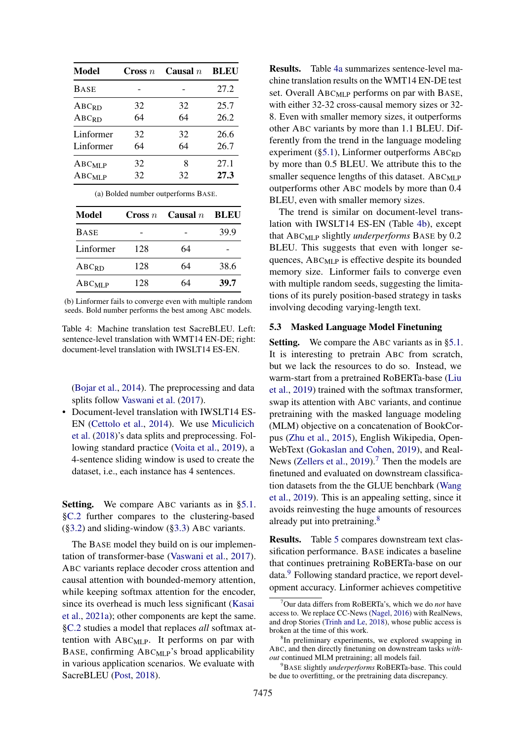<span id="page-6-1"></span>

| Model             | Cross $n$ | Causal $n$ | <b>BLEU</b> |
|-------------------|-----------|------------|-------------|
| <b>BASE</b>       |           |            | 27.2        |
| ABC <sub>RD</sub> | 32        | 32         | 25.7        |
| ABCRD             | 64        | 64         | 26.2        |
| Linformer         | 32        | 32         | 26.6        |
| Linformer         | 64        | 64         | 26.7        |
| $ABC_{MLP}$       | 32        | 8          | 27.1        |
| $ABC_{MLP}$       | 32        | 32         | 27.3        |

(a) Bolded number outperforms BASE.

| Model       | $\boldsymbol{\Gamma}$ cross $n$ | Causal $n$ | - BLEU |
|-------------|---------------------------------|------------|--------|
| <b>BASE</b> |                                 |            | 39.9   |
| Linformer   | 128                             | 64         |        |
| $ABC_{RD}$  | 128                             | 64         | 38.6   |
| $ABC$ MLP   | 128                             | 64         | 39.7   |

(b) Linformer fails to converge even with multiple random seeds. Bold number performs the best among ABC models.

Table 4: Machine translation test SacreBLEU. Left: sentence-level translation with WMT14 EN-DE; right: document-level translation with IWSLT14 ES-EN.

[\(Bojar et al.,](#page-8-6) [2014\)](#page-8-6). The preprocessing and data splits follow [Vaswani et al.](#page-10-1) [\(2017\)](#page-10-1).

• Document-level translation with IWSLT14 ES-EN [\(Cettolo et al.,](#page-8-7) [2014\)](#page-8-7). We use [Miculicich](#page-9-20) [et al.](#page-9-20) [\(2018\)](#page-9-20)'s data splits and preprocessing. Following standard practice [\(Voita et al.,](#page-10-10) [2019\)](#page-10-10), a 4-sentence sliding window is used to create the dataset, i.e., each instance has 4 sentences.

Setting. We compare ABC variants as in [§5.1.](#page-5-0) [§C.2](#page-12-0) further compares to the clustering-based ([§3.2\)](#page-2-3) and sliding-window ([§3.3\)](#page-2-1) ABC variants.

The BASE model they build on is our implementation of transformer-base [\(Vaswani et al.,](#page-10-1) [2017\)](#page-10-1). ABC variants replace decoder cross attention and causal attention with bounded-memory attention, while keeping softmax attention for the encoder, since its overhead is much less significant [\(Kasai](#page-9-21) [et al.,](#page-9-21) [2021a\)](#page-9-21); other components are kept the same. [§C.2](#page-12-0) studies a model that replaces *all* softmax attention with ABCMLP. It performs on par with BASE, confirming ABC<sub>MLP</sub>'s broad applicability in various application scenarios. We evaluate with SacreBLEU [\(Post,](#page-9-22) [2018\)](#page-9-22).

Results. Table [4a](#page-6-1) summarizes sentence-level machine translation results on the WMT14 EN-DE test set. Overall  $ABC_{MLP}$  performs on par with BASE, with either 32-32 cross-causal memory sizes or 32- 8. Even with smaller memory sizes, it outperforms other ABC variants by more than 1.1 BLEU. Differently from the trend in the language modeling experiment ( $\S$ 5.1), Linformer outperforms ABC<sub>RD</sub> by more than 0.5 BLEU. We attribute this to the smaller sequence lengths of this dataset.  $ABC_{MLP}$ outperforms other ABC models by more than 0.4 BLEU, even with smaller memory sizes.

The trend is similar on document-level translation with IWSLT14 ES-EN (Table [4b\)](#page-6-1), except that ABCMLP slightly *underperforms* BASE by 0.2 BLEU. This suggests that even with longer sequences, ABCMLP is effective despite its bounded memory size. Linformer fails to converge even with multiple random seeds, suggesting the limitations of its purely position-based strategy in tasks involving decoding varying-length text.

# <span id="page-6-0"></span>5.3 Masked Language Model Finetuning

Setting. We compare the ABC variants as in [§5.1.](#page-5-0) It is interesting to pretrain ABC from scratch, but we lack the resources to do so. Instead, we warm-start from a pretrained RoBERTa-base [\(Liu](#page-9-23) [et al.,](#page-9-23) [2019\)](#page-9-23) trained with the softmax transformer, swap its attention with ABC variants, and continue pretraining with the masked language modeling (MLM) objective on a concatenation of BookCorpus [\(Zhu et al.,](#page-10-11) [2015\)](#page-10-11), English Wikipedia, Open-WebText [\(Gokaslan and Cohen,](#page-8-8) [2019\)](#page-8-8), and Real-News [\(Zellers et al.,](#page-10-12)  $2019$ ).<sup>[7](#page-6-2)</sup> Then the models are finetuned and evaluated on downstream classification datasets from the the GLUE benchbark [\(Wang](#page-10-13) [et al.,](#page-10-13) [2019\)](#page-10-13). This is an appealing setting, since it avoids reinvesting the huge amounts of resources already put into pretraining.[8](#page-6-3)

Results. Table [5](#page-7-0) compares downstream text classification performance. BASE indicates a baseline that continues pretraining RoBERTa-base on our data.[9](#page-6-4) Following standard practice, we report development accuracy. Linformer achieves competitive

<span id="page-6-2"></span><sup>7</sup>Our data differs from RoBERTa's, which we do *not* have access to. We replace CC-News [\(Nagel,](#page-9-24) [2016\)](#page-9-24) with RealNews, and drop Stories [\(Trinh and Le,](#page-10-14) [2018\)](#page-10-14), whose public access is broken at the time of this work.

<span id="page-6-3"></span><sup>8</sup> In preliminary experiments, we explored swapping in ABC, and then directly finetuning on downstream tasks *without* continued MLM pretraining; all models fail.

<span id="page-6-4"></span><sup>9</sup>BASE slightly *underperforms* RoBERTa-base. This could be due to overfitting, or the pretraining data discrepancy.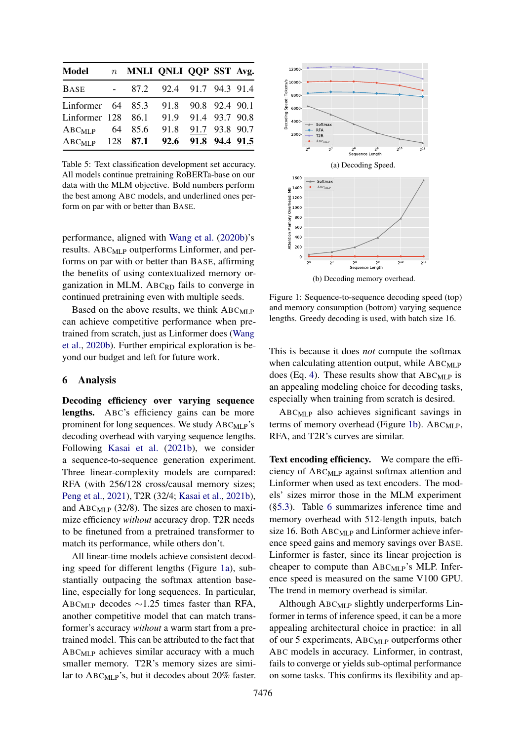<span id="page-7-0"></span>

| Model               |                     | n MNLI QNLI QQP SST Avg. |                          |                     |  |
|---------------------|---------------------|--------------------------|--------------------------|---------------------|--|
| <b>BASE</b>         | $\omega_{\rm{max}}$ |                          | 87.2 92.4 91.7 94.3 91.4 |                     |  |
| Linformer $64$ 85.3 |                     |                          |                          | 91.8 90.8 92.4 90.1 |  |
| Linformer 128       |                     | 86.1                     |                          | 91.9 91.4 93.7 90.8 |  |
| $ABC_{MLP}$         |                     | 64 85.6                  |                          | 91.8 91.7 93.8 90.7 |  |
| $ABC_{MLP}$         |                     | 128 87.1                 |                          | 92.6 91.8 94.4 91.5 |  |

Table 5: Text classification development set accuracy. All models continue pretraining RoBERTa-base on our data with the MLM objective. Bold numbers perform the best among ABC models, and underlined ones perform on par with or better than BASE.

performance, aligned with [Wang et al.](#page-10-0) [\(2020b\)](#page-10-0)'s results. ABC<sub>MLP</sub> outperforms Linformer, and performs on par with or better than BASE, affirming the benefits of using contextualized memory organization in MLM. ABC<sub>RD</sub> fails to converge in continued pretraining even with multiple seeds.

Based on the above results, we think  $ABC_{MLP}$ can achieve competitive performance when pretrained from scratch, just as Linformer does [\(Wang](#page-10-0) [et al.,](#page-10-0) [2020b\)](#page-10-0). Further empirical exploration is beyond our budget and left for future work.

### 6 Analysis

Decoding efficiency over varying sequence lengths. ABC's efficiency gains can be more prominent for long sequences. We study  $ABC_{MLP}$ 's decoding overhead with varying sequence lengths. Following [Kasai et al.](#page-9-14) [\(2021b\)](#page-9-14), we consider a sequence-to-sequence generation experiment. Three linear-complexity models are compared: RFA (with 256/128 cross/causal memory sizes; [Peng et al.,](#page-9-12) [2021\)](#page-9-12), T2R (32/4; [Kasai et al.,](#page-9-14) [2021b\)](#page-9-14), and  $ABC_{MLP}$  (32/8). The sizes are chosen to maximize efficiency *without* accuracy drop. T2R needs to be finetuned from a pretrained transformer to match its performance, while others don't.

All linear-time models achieve consistent decoding speed for different lengths (Figure [1a\)](#page-7-1), substantially outpacing the softmax attention baseline, especially for long sequences. In particular, ABCMLP decodes ∼1.25 times faster than RFA, another competitive model that can match transformer's accuracy *without* a warm start from a pretrained model. This can be attributed to the fact that  $ABC_{MI,P}$  achieves similar accuracy with a much smaller memory. T2R's memory sizes are similar to ABCMLP's, but it decodes about 20% faster.

<span id="page-7-1"></span>

Figure 1: Sequence-to-sequence decoding speed (top) and memory consumption (bottom) varying sequence lengths. Greedy decoding is used, with batch size 16.

This is because it does *not* compute the softmax when calculating attention output, while  $ABC_{MLP}$ does (Eq. [4\)](#page-1-3). These results show that  $ABC_{MLP}$  is an appealing modeling choice for decoding tasks, especially when training from scratch is desired.

ABCMLP also achieves significant savings in terms of memory overhead (Figure [1b\)](#page-7-1).  $ABC_{MLP}$ , RFA, and T2R's curves are similar.

Text encoding efficiency. We compare the efficiency of ABCMLP against softmax attention and Linformer when used as text encoders. The models' sizes mirror those in the MLM experiment ([§5.3\)](#page-6-0). Table [6](#page-8-9) summarizes inference time and memory overhead with 512-length inputs, batch size 16. Both  $ABC_{MLP}$  and Linformer achieve inference speed gains and memory savings over BASE. Linformer is faster, since its linear projection is cheaper to compute than  $ABC_{MLP}$ 's MLP. Inference speed is measured on the same V100 GPU. The trend in memory overhead is similar.

Although ABC<sub>MLP</sub> slightly underperforms Linformer in terms of inference speed, it can be a more appealing architectural choice in practice: in all of our 5 experiments, ABCMLP outperforms other ABC models in accuracy. Linformer, in contrast, fails to converge or yields sub-optimal performance on some tasks. This confirms its flexibility and ap-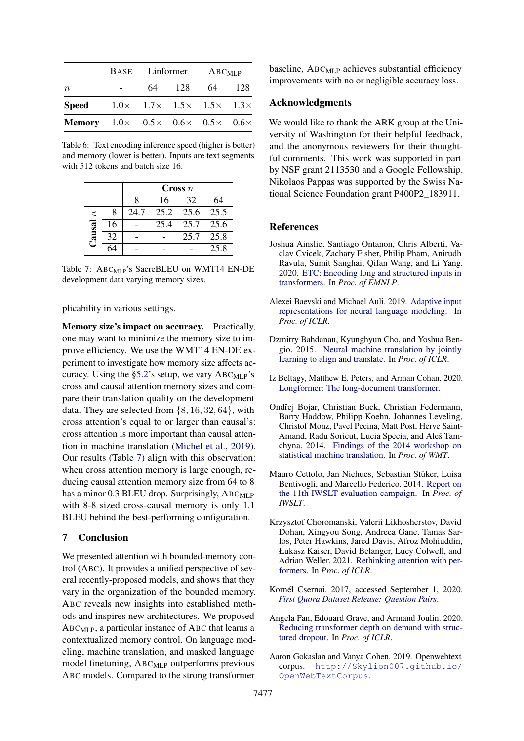<span id="page-8-9"></span>

|                                                                        |                                                          |    | BASE Linformer ABC <sub>MLP</sub> |    |       |  |
|------------------------------------------------------------------------|----------------------------------------------------------|----|-----------------------------------|----|-------|--|
| $\boldsymbol{n}$                                                       |                                                          | 64 | - 128                             | 64 | - 128 |  |
| <b>Speed</b>                                                           | $1.0 \times 1.7 \times 1.5 \times 1.5 \times 1.3 \times$ |    |                                   |    |       |  |
| <b>Memory</b> $1.0 \times 0.5 \times 0.6 \times 0.5 \times 0.6 \times$ |                                                          |    |                                   |    |       |  |

Table 6: Text encoding inference speed (higher is better) and memory (lower is better). Inputs are text segments with 512 tokens and batch size 16.

<span id="page-8-10"></span>

|                  |    | $\boldsymbol{\mathrm{Cross}}$ n |      |      |      |  |
|------------------|----|---------------------------------|------|------|------|--|
|                  |    | 8                               | 16   | 32   | 64   |  |
| $\boldsymbol{n}$ |    | 24.7                            | 25.2 | 25.6 | 25.5 |  |
| ausal            | 16 |                                 | 25.4 | 25.7 | 25.6 |  |
|                  | 32 |                                 |      | 25.7 | 25.8 |  |
|                  |    |                                 |      |      | 25.8 |  |

Table 7: ABC<sub>MLP</sub>'s SacreBLEU on WMT14 EN-DE development data varying memory sizes.

plicability in various settings.

Memory size's impact on accuracy. Practically, one may want to minimize the memory size to improve efficiency. We use the WMT14 EN-DE experiment to investigate how memory size affects accuracy. Using the  $\S 5.2$ 's setup, we vary ABC<sub>MLP</sub>'s cross and causal attention memory sizes and compare their translation quality on the development data. They are selected from  $\{8, 16, 32, 64\}$ , with cross attention's equal to or larger than causal's: cross attention is more important than causal attention in machine translation [\(Michel et al.,](#page-9-25) [2019\)](#page-9-25). Our results (Table [7\)](#page-8-10) align with this observation: when cross attention memory is large enough, reducing causal attention memory size from 64 to 8 has a minor 0.3 BLEU drop. Surprisingly, ABC<sub>MLP</sub> with 8-8 sized cross-causal memory is only 1.1 BLEU behind the best-performing configuration.

# 7 Conclusion

We presented attention with bounded-memory control (ABC). It provides a unified perspective of several recently-proposed models, and shows that they vary in the organization of the bounded memory. ABC reveals new insights into established methods and inspires new architectures. We proposed  $ABC_{MLP}$ , a particular instance of ABC that learns a contextualized memory control. On language modeling, machine translation, and masked language model finetuning, ABC<sub>MLP</sub> outperforms previous ABC models. Compared to the strong transformer

baseline,  $ABC_{MLP}$  achieves substantial efficiency improvements with no or negligible accuracy loss.

### Acknowledgments

We would like to thank the ARK group at the University of Washington for their helpful feedback, and the anonymous reviewers for their thoughtful comments. This work was supported in part by NSF grant 2113530 and a Google Fellowship. Nikolaos Pappas was supported by the Swiss National Science Foundation grant P400P2\_183911.

### References

- <span id="page-8-2"></span>Joshua Ainslie, Santiago Ontanon, Chris Alberti, Vaclav Cvicek, Zachary Fisher, Philip Pham, Anirudh Ravula, Sumit Sanghai, Qifan Wang, and Li Yang. 2020. [ETC: Encoding long and structured inputs in](https://arxiv.org/abs/2004.08483) [transformers.](https://arxiv.org/abs/2004.08483) In *Proc. of EMNLP*.
- <span id="page-8-4"></span>Alexei Baevski and Michael Auli. 2019. [Adaptive input](https://arxiv.org/abs/1809.10853) [representations for neural language modeling.](https://arxiv.org/abs/1809.10853) In *Proc. of ICLR*.
- <span id="page-8-0"></span>Dzmitry Bahdanau, Kyunghyun Cho, and Yoshua Bengio. 2015. [Neural machine translation by jointly](https://arxiv.org/abs/1409.0473) [learning to align and translate.](https://arxiv.org/abs/1409.0473) In *Proc. of ICLR*.
- <span id="page-8-1"></span>Iz Beltagy, Matthew E. Peters, and Arman Cohan. 2020. [Longformer: The long-document transformer.](https://arxiv.org/abs/2004.05150)
- <span id="page-8-6"></span>Ondřej Bojar, Christian Buck, Christian Federmann, Barry Haddow, Philipp Koehn, Johannes Leveling, Christof Monz, Pavel Pecina, Matt Post, Herve Saint-Amand, Radu Soricut, Lucia Specia, and Aleš Tamchyna. 2014. [Findings of the 2014 workshop on](https://aclanthology.org/W14-3302/) [statistical machine translation.](https://aclanthology.org/W14-3302/) In *Proc. of WMT*.
- <span id="page-8-7"></span>Mauro Cettolo, Jan Niehues, Sebastian Stüker, Luisa Bentivogli, and Marcello Federico. 2014. [Report on](https://aclanthology.org/2014.iwslt-evaluation.1/) [the 11th IWSLT evaluation campaign.](https://aclanthology.org/2014.iwslt-evaluation.1/) In *Proc. of IWSLT*.
- <span id="page-8-3"></span>Krzysztof Choromanski, Valerii Likhosherstov, David Dohan, Xingyou Song, Andreea Gane, Tamas Sarlos, Peter Hawkins, Jared Davis, Afroz Mohiuddin, Łukasz Kaiser, David Belanger, Lucy Colwell, and Adrian Weller. 2021. [Rethinking attention with per](https://arxiv.org/abs/2009.14794)[formers.](https://arxiv.org/abs/2009.14794) In *Proc. of ICLR*.
- <span id="page-8-11"></span>Kornél Csernai. 2017, accessed September 1, 2020. *[First Quora Dataset Release: Question Pairs](https://www.quora.com/q/quoradata/First-Quora-Dataset-Release-Question-Pairs)*.
- <span id="page-8-5"></span>Angela Fan, Edouard Grave, and Armand Joulin. 2020. [Reducing transformer depth on demand with struc](https://arxiv.org/abs/1909.11556)[tured dropout.](https://arxiv.org/abs/1909.11556) In *Proc. of ICLR*.
- <span id="page-8-8"></span>Aaron Gokaslan and Vanya Cohen. 2019. Openwebtext corpus. [http://Skylion007.github.io/](http://Skylion007.github.io/OpenWebTextCorpus) [OpenWebTextCorpus](http://Skylion007.github.io/OpenWebTextCorpus).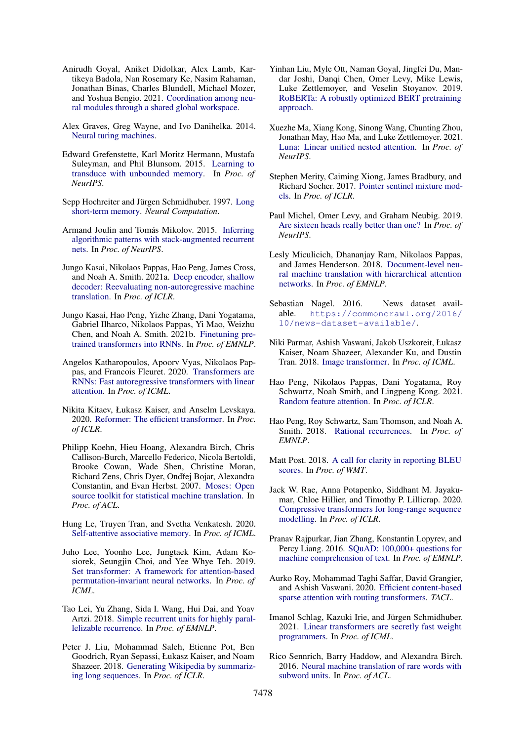- <span id="page-9-8"></span>Anirudh Goyal, Aniket Didolkar, Alex Lamb, Kartikeya Badola, Nan Rosemary Ke, Nasim Rahaman, Jonathan Binas, Charles Blundell, Michael Mozer, and Yoshua Bengio. 2021. [Coordination among neu](https://arxiv.org/abs/2103.01197)[ral modules through a shared global workspace.](https://arxiv.org/abs/2103.01197)
- <span id="page-9-15"></span>Alex Graves, Greg Wayne, and Ivo Danihelka. 2014. [Neural turing machines.](https://arxiv.org/abs/1410.5401)
- <span id="page-9-5"></span>Edward Grefenstette, Karl Moritz Hermann, Mustafa Suleyman, and Phil Blunsom. 2015. [Learning to](https://arxiv.org/abs/1506.02516) [transduce with unbounded memory.](https://arxiv.org/abs/1506.02516) In *Proc. of NeurIPS*.
- <span id="page-9-17"></span>Sepp Hochreiter and Jürgen Schmidhuber. 1997. [Long](https://direct.mit.edu/neco/article-abstract/9/8/1735/6109/Long-Short-Term-Memory?redirectedFrom=fulltext) [short-term memory.](https://direct.mit.edu/neco/article-abstract/9/8/1735/6109/Long-Short-Term-Memory?redirectedFrom=fulltext) *Neural Computation*.
- <span id="page-9-6"></span>Armand Joulin and Tomás Mikolov. 2015. [Inferring](https://arxiv.org/abs/1503.01007) [algorithmic patterns with stack-augmented recurrent](https://arxiv.org/abs/1503.01007) [nets.](https://arxiv.org/abs/1503.01007) In *Proc. of NeurIPS*.
- <span id="page-9-21"></span>Jungo Kasai, Nikolaos Pappas, Hao Peng, James Cross, and Noah A. Smith. 2021a. [Deep encoder, shallow](https://arxiv.org/abs/2006.10369) [decoder: Reevaluating non-autoregressive machine](https://arxiv.org/abs/2006.10369) [translation.](https://arxiv.org/abs/2006.10369) In *Proc. of ICLR*.
- <span id="page-9-14"></span>Jungo Kasai, Hao Peng, Yizhe Zhang, Dani Yogatama, Gabriel Ilharco, Nikolaos Pappas, Yi Mao, Weizhu Chen, and Noah A. Smith. 2021b. [Finetuning pre](https://arxiv.org/abs/2103.13076)[trained transformers into RNNs.](https://arxiv.org/abs/2103.13076) In *Proc. of EMNLP*.
- <span id="page-9-10"></span>Angelos Katharopoulos, Apoorv Vyas, Nikolaos Pappas, and Francois Fleuret. 2020. [Transformers are](https://arxiv.org/abs/2006.16236) [RNNs: Fast autoregressive transformers with linear](https://arxiv.org/abs/2006.16236) [attention.](https://arxiv.org/abs/2006.16236) In *Proc. of ICML*.
- <span id="page-9-3"></span>Nikita Kitaev, Łukasz Kaiser, and Anselm Levskaya. 2020. [Reformer: The efficient transformer.](https://arxiv.org/abs/2001.04451) In *Proc. of ICLR*.
- <span id="page-9-27"></span>Philipp Koehn, Hieu Hoang, Alexandra Birch, Chris Callison-Burch, Marcello Federico, Nicola Bertoldi, Brooke Cowan, Wade Shen, Christine Moran, Richard Zens, Chris Dyer, Ondřej Bojar, Alexandra Constantin, and Evan Herbst. 2007. [Moses: Open](https://aclanthology.org/P07-2045/) [source toolkit for statistical machine translation.](https://aclanthology.org/P07-2045/) In *Proc. of ACL*.
- <span id="page-9-18"></span>Hung Le, Truyen Tran, and Svetha Venkatesh. 2020. [Self-attentive associative memory.](https://arxiv.org/abs/2002.03519) In *Proc. of ICML*.
- <span id="page-9-11"></span>Juho Lee, Yoonho Lee, Jungtaek Kim, Adam Kosiorek, Seungjin Choi, and Yee Whye Teh. 2019. [Set transformer: A framework for attention-based](https://arxiv.org/abs/1810.00825) [permutation-invariant neural networks.](https://arxiv.org/abs/1810.00825) In *Proc. of ICML*.
- <span id="page-9-7"></span>Tao Lei, Yu Zhang, Sida I. Wang, Hui Dai, and Yoav Artzi. 2018. [Simple recurrent units for highly paral](https://arxiv.org/abs/1709.02755)[lelizable recurrence.](https://arxiv.org/abs/1709.02755) In *Proc. of EMNLP*.
- <span id="page-9-2"></span>Peter J. Liu, Mohammad Saleh, Etienne Pot, Ben Goodrich, Ryan Sepassi, Łukasz Kaiser, and Noam Shazeer. 2018. [Generating Wikipedia by summariz](https://arxiv.org/abs/1801.10198)[ing long sequences.](https://arxiv.org/abs/1801.10198) In *Proc. of ICLR*.
- <span id="page-9-23"></span>Yinhan Liu, Myle Ott, Naman Goyal, Jingfei Du, Mandar Joshi, Danqi Chen, Omer Levy, Mike Lewis, Luke Zettlemoyer, and Veselin Stoyanov. 2019. [RoBERTa: A robustly optimized BERT pretraining](https://arxiv.org/abs/1907.11692) [approach.](https://arxiv.org/abs/1907.11692)
- <span id="page-9-9"></span>Xuezhe Ma, Xiang Kong, Sinong Wang, Chunting Zhou, Jonathan May, Hao Ma, and Luke Zettlemoyer. 2021. [Luna: Linear unified nested attention.](https://arxiv.org/abs/2106.01540) In *Proc. of NeurIPS*.
- <span id="page-9-19"></span>Stephen Merity, Caiming Xiong, James Bradbury, and Richard Socher. 2017. [Pointer sentinel mixture mod](https://arxiv.org/abs/1609.07843)[els.](https://arxiv.org/abs/1609.07843) In *Proc. of ICLR*.
- <span id="page-9-25"></span>Paul Michel, Omer Levy, and Graham Neubig. 2019. [Are sixteen heads really better than one?](https://arxiv.org/abs/1905.10650) In *Proc. of NeurIPS*.
- <span id="page-9-20"></span>Lesly Miculicich, Dhananjay Ram, Nikolaos Pappas, and James Henderson. 2018. [Document-level neu](https://arxiv.org/abs/1809.01576)[ral machine translation with hierarchical attention](https://arxiv.org/abs/1809.01576) [networks.](https://arxiv.org/abs/1809.01576) In *Proc. of EMNLP*.
- <span id="page-9-24"></span>Sebastian Nagel. 2016. News dataset available. [https://commoncrawl.org/2016/](https://commoncrawl.org/2016/10/news-dataset-available/) [10/news-dataset-available/](https://commoncrawl.org/2016/10/news-dataset-available/).
- <span id="page-9-1"></span>Niki Parmar, Ashish Vaswani, Jakob Uszkoreit, Łukasz Kaiser, Noam Shazeer, Alexander Ku, and Dustin Tran. 2018. [Image transformer.](https://arxiv.org/abs/1802.05751) In *Proc. of ICML*.
- <span id="page-9-12"></span>Hao Peng, Nikolaos Pappas, Dani Yogatama, Roy Schwartz, Noah Smith, and Lingpeng Kong. 2021. [Random feature attention.](https://arxiv.org/abs/2103.02143) In *Proc. of ICLR*.
- <span id="page-9-16"></span>Hao Peng, Roy Schwartz, Sam Thomson, and Noah A. Smith. 2018. [Rational recurrences.](https://arxiv.org/abs/1808.09357) In *Proc. of EMNLP*.
- <span id="page-9-22"></span>Matt Post. 2018. [A call for clarity in reporting BLEU](https://arxiv.org/abs/1804.08771) [scores.](https://arxiv.org/abs/1804.08771) In *Proc. of WMT*.
- <span id="page-9-0"></span>Jack W. Rae, Anna Potapenko, Siddhant M. Jayakumar, Chloe Hillier, and Timothy P. Lillicrap. 2020. [Compressive transformers for long-range sequence](https://arxiv.org/abs/1911.05507) [modelling.](https://arxiv.org/abs/1911.05507) In *Proc. of ICLR*.
- <span id="page-9-28"></span>Pranav Rajpurkar, Jian Zhang, Konstantin Lopyrev, and Percy Liang. 2016. [SQuAD: 100,000+ questions for](https://arxiv.org/abs/1606.05250) [machine comprehension of text.](https://arxiv.org/abs/1606.05250) In *Proc. of EMNLP*.
- <span id="page-9-4"></span>Aurko Roy, Mohammad Taghi Saffar, David Grangier, and Ashish Vaswani. 2020. [Efficient content-based](https://arxiv.org/abs/2003.05997) [sparse attention with routing transformers.](https://arxiv.org/abs/2003.05997) *TACL*.
- <span id="page-9-13"></span>Imanol Schlag, Kazuki Irie, and Jürgen Schmidhuber. 2021. [Linear transformers are secretly fast weight](https://arxiv.org/abs/2102.11174) [programmers.](https://arxiv.org/abs/2102.11174) In *Proc. of ICML*.
- <span id="page-9-26"></span>Rico Sennrich, Barry Haddow, and Alexandra Birch. 2016. [Neural machine translation of rare words with](https://arxiv.org/abs/1508.07909) [subword units.](https://arxiv.org/abs/1508.07909) In *Proc. of ACL*.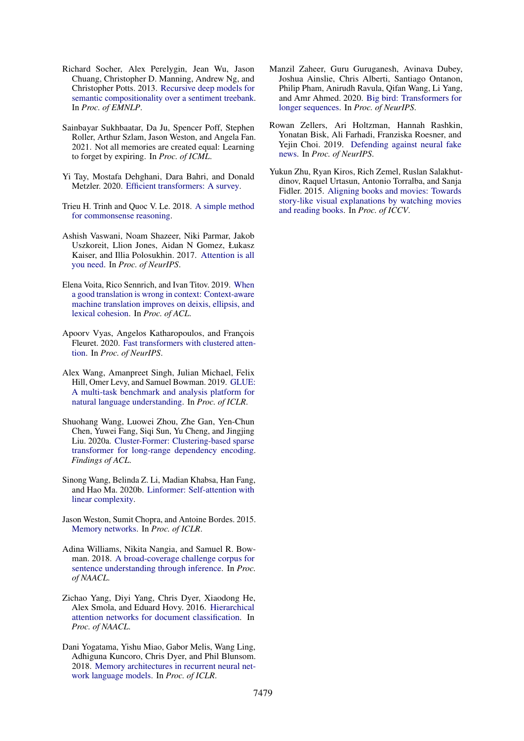- <span id="page-10-16"></span>Richard Socher, Alex Perelygin, Jean Wu, Jason Chuang, Christopher D. Manning, Andrew Ng, and Christopher Potts. 2013. [Recursive deep models for](https://nlp.stanford.edu/~socherr/EMNLP2013_RNTN.pdf) [semantic compositionality over a sentiment treebank.](https://nlp.stanford.edu/~socherr/EMNLP2013_RNTN.pdf) In *Proc. of EMNLP*.
- <span id="page-10-6"></span>Sainbayar Sukhbaatar, Da Ju, Spencer Poff, Stephen Roller, Arthur Szlam, Jason Weston, and Angela Fan. 2021. Not all memories are created equal: Learning to forget by expiring. In *Proc. of ICML*.
- <span id="page-10-3"></span>Yi Tay, Mostafa Dehghani, Dara Bahri, and Donald Metzler. 2020. [Efficient transformers: A survey.](https://arxiv.org/abs/2009.06732)
- <span id="page-10-14"></span>Trieu H. Trinh and Quoc V. Le. 2018. [A simple method](https://arxiv.org/abs/1806.02847) [for commonsense reasoning.](https://arxiv.org/abs/1806.02847)
- <span id="page-10-1"></span>Ashish Vaswani, Noam Shazeer, Niki Parmar, Jakob Uszkoreit, Llion Jones, Aidan N Gomez, Łukasz Kaiser, and Illia Polosukhin. 2017. [Attention is all](https://arxiv.org/abs/1706.03762) [you need.](https://arxiv.org/abs/1706.03762) In *Proc. of NeurIPS*.
- <span id="page-10-10"></span>Elena Voita, Rico Sennrich, and Ivan Titov. 2019. [When](https://arxiv.org/abs/1905.05979) [a good translation is wrong in context: Context-aware](https://arxiv.org/abs/1905.05979) [machine translation improves on deixis, ellipsis, and](https://arxiv.org/abs/1905.05979) [lexical cohesion.](https://arxiv.org/abs/1905.05979) In *Proc. of ACL*.
- <span id="page-10-5"></span>Apoorv Vyas, Angelos Katharopoulos, and François Fleuret. 2020. [Fast transformers with clustered atten](https://arxiv.org/abs/2007.04825)[tion.](https://arxiv.org/abs/2007.04825) In *Proc. of NeurIPS*.
- <span id="page-10-13"></span>Alex Wang, Amanpreet Singh, Julian Michael, Felix Hill, Omer Levy, and Samuel Bowman. 2019. [GLUE:](https://arxiv.org/abs/1804.07461) [A multi-task benchmark and analysis platform for](https://arxiv.org/abs/1804.07461) [natural language understanding.](https://arxiv.org/abs/1804.07461) In *Proc. of ICLR*.
- <span id="page-10-4"></span>Shuohang Wang, Luowei Zhou, Zhe Gan, Yen-Chun Chen, Yuwei Fang, Siqi Sun, Yu Cheng, and Jingjing Liu. 2020a. [Cluster-Former: Clustering-based sparse](https://arxiv.org/abs/2009.06097) [transformer for long-range dependency encoding.](https://arxiv.org/abs/2009.06097) *Findings of ACL*.
- <span id="page-10-0"></span>Sinong Wang, Belinda Z. Li, Madian Khabsa, Han Fang, and Hao Ma. 2020b. [Linformer: Self-attention with](https://arxiv.org/abs/2006.04768) [linear complexity.](https://arxiv.org/abs/2006.04768)
- <span id="page-10-9"></span>Jason Weston, Sumit Chopra, and Antoine Bordes. 2015. [Memory networks.](https://arxiv.org/abs/1410.3916) In *Proc. of ICLR*.
- <span id="page-10-15"></span>Adina Williams, Nikita Nangia, and Samuel R. Bowman. 2018. [A broad-coverage challenge corpus for](https://arxiv.org/abs/1704.05426) [sentence understanding through inference.](https://arxiv.org/abs/1704.05426) In *Proc. of NAACL*.
- <span id="page-10-8"></span>Zichao Yang, Diyi Yang, Chris Dyer, Xiaodong He, Alex Smola, and Eduard Hovy. 2016. [Hierarchical](https://aclanthology.org/N16-1174/) [attention networks for document classification.](https://aclanthology.org/N16-1174/) In *Proc. of NAACL*.
- <span id="page-10-7"></span>Dani Yogatama, Yishu Miao, Gabor Melis, Wang Ling, Adhiguna Kuncoro, Chris Dyer, and Phil Blunsom. 2018. [Memory architectures in recurrent neural net](https://openreview.net/pdf?id=SkFqf0lAZ)[work language models.](https://openreview.net/pdf?id=SkFqf0lAZ) In *Proc. of ICLR*.
- <span id="page-10-2"></span>Manzil Zaheer, Guru Guruganesh, Avinava Dubey, Joshua Ainslie, Chris Alberti, Santiago Ontanon, Philip Pham, Anirudh Ravula, Qifan Wang, Li Yang, and Amr Ahmed. 2020. [Big bird: Transformers for](https://arxiv.org/abs/2007.14062) [longer sequences.](https://arxiv.org/abs/2007.14062) In *Proc. of NeurIPS*.
- <span id="page-10-12"></span>Rowan Zellers, Ari Holtzman, Hannah Rashkin, Yonatan Bisk, Ali Farhadi, Franziska Roesner, and Yejin Choi. 2019. [Defending against neural fake](https://arxiv.org/abs/1905.12616) [news.](https://arxiv.org/abs/1905.12616) In *Proc. of NeurIPS*.
- <span id="page-10-11"></span>Yukun Zhu, Ryan Kiros, Rich Zemel, Ruslan Salakhutdinov, Raquel Urtasun, Antonio Torralba, and Sanja Fidler. 2015. [Aligning books and movies: Towards](https://arxiv.org/abs/1506.06724) [story-like visual explanations by watching movies](https://arxiv.org/abs/1506.06724) [and reading books.](https://arxiv.org/abs/1506.06724) In *Proc. of ICCV*.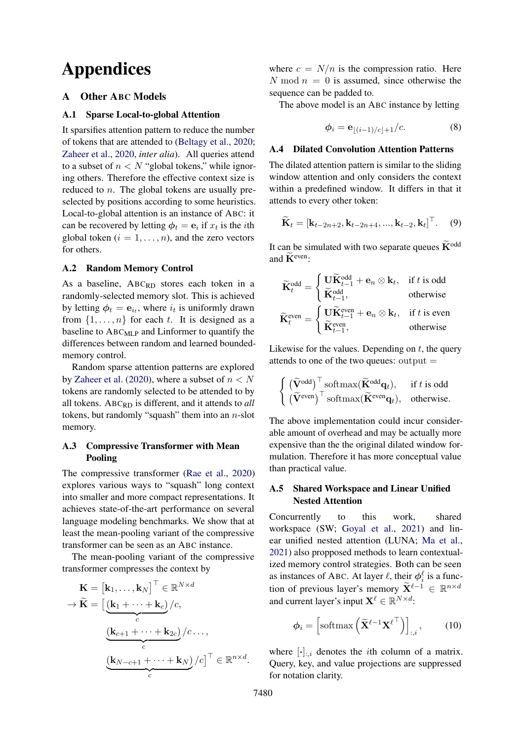# Appendices

# <span id="page-11-1"></span>A Other ABC Models

### <span id="page-11-3"></span>A.1 Sparse Local-to-global Attention

It sparsifies attention pattern to reduce the number of tokens that are attended to [\(Beltagy et al.,](#page-8-1) [2020;](#page-8-1) [Zaheer et al.,](#page-10-2) [2020,](#page-10-2) *inter alia*). All queries attend to a subset of  $n < N$  "global tokens," while ignoring others. Therefore the effective context size is reduced to  $n$ . The global tokens are usually preselected by positions according to some heuristics. Local-to-global attention is an instance of ABC: it can be recovered by letting  $\phi_t = \mathbf{e}_i$  if  $x_t$  is the *i*th global token  $(i = 1, \ldots, n)$ , and the zero vectors for others.

### <span id="page-11-4"></span>A.2 Random Memory Control

As a baseline, ABCRD stores each token in a randomly-selected memory slot. This is achieved by letting  $\phi_t = e_{i_t}$ , where  $i_t$  is uniformly drawn from  $\{1, \ldots, n\}$  for each t. It is designed as a baseline to ABC<sub>MLP</sub> and Linformer to quantify the differences between random and learned boundedmemory control.

Random sparse attention patterns are explored by [Zaheer et al.](#page-10-2) [\(2020\)](#page-10-2), where a subset of  $n < N$ tokens are randomly selected to be attended to by all tokens. ABCRD is different, and it attends to *all* tokens, but randomly "squash" them into an  $n$ -slot memory.

# <span id="page-11-5"></span>A.3 Compressive Transformer with Mean Pooling

The compressive transformer [\(Rae et al.,](#page-9-0) [2020\)](#page-9-0) explores various ways to "squash" long context into smaller and more compact representations. It achieves state-of-the-art performance on several language modeling benchmarks. We show that at least the mean-pooling variant of the compressive transformer can be seen as an ABC instance.

The mean-pooling variant of the compressive transformer compresses the context by

$$
\mathbf{K} = [\mathbf{k}_1, ..., \mathbf{k}_N]^{\top} \in \mathbb{R}^{N \times d}
$$

$$
\rightarrow \widetilde{\mathbf{K}} = \left[ \underbrace{(\mathbf{k}_1 + \dots + \mathbf{k}_c)}_{c} / c, \underbrace{(\mathbf{k}_{c+1} + \dots + \mathbf{k}_{2c})}_{c} / c \dots, \underbrace{(\mathbf{k}_{N-c+1} + \dots + \mathbf{k}_N)}_{c} / c \right]^{\top} \in \mathbb{R}^{n \times d}.
$$

where  $c = N/n$  is the compression ratio. Here N mod  $n = 0$  is assumed, since otherwise the sequence can be padded to.

The above model is an ABC instance by letting

$$
\phi_i = \mathbf{e}_{\lfloor (i-1)/c \rfloor + 1}/c. \tag{8}
$$

### <span id="page-11-0"></span>A.4 Dilated Convolution Attention Patterns

The dilated attention pattern is similar to the sliding window attention and only considers the context within a predefined window. It differs in that it attends to every other token:

$$
\widetilde{\mathbf{K}}_t = [\mathbf{k}_{t-2n+2}, \mathbf{k}_{t-2n+4}, ..., \mathbf{k}_{t-2}, \mathbf{k}_t]^{\top}.
$$
 (9)

It can be simulated with two separate queues  $\widetilde{\mathbf{K}}^{\text{odd}}$ and  $\widetilde{\mathbf{K}}^{\text{even}}$ :

$$
\widetilde{\mathbf{K}}_t^{\text{odd}} = \begin{cases}\n\mathbf{U}\widetilde{\mathbf{K}}_{t-1}^{\text{odd}} + \mathbf{e}_n \otimes \mathbf{k}_t, & \text{if } t \text{ is odd} \\
\widetilde{\mathbf{K}}_{t-1}^{\text{odd}}, & \text{otherwise}\n\end{cases}
$$
\n
$$
\widetilde{\mathbf{K}}_t^{\text{even}} = \begin{cases}\n\mathbf{U}\widetilde{\mathbf{K}}_{t-1}^{\text{even}} + \mathbf{e}_n \otimes \mathbf{k}_t, & \text{if } t \text{ is even} \\
\widetilde{\mathbf{K}}_{t-1}^{\text{even}}, & \text{otherwise}\n\end{cases}
$$

Likewise for the values. Depending on  $t$ , the query attends to one of the two queues: output  $=$ 

$$
\begin{cases}\n(\widetilde{\mathbf{V}}^{\text{odd}})^{\top}\text{softmax}(\widetilde{\mathbf{K}}^{\text{odd}}\mathbf{q}_t), & \text{if } t \text{ is odd} \\
(\widetilde{\mathbf{V}}^{\text{even}})^{\top}\text{softmax}(\widetilde{\mathbf{K}}^{\text{even}}\mathbf{q}_t), & \text{otherwise.}\n\end{cases}
$$

The above implementation could incur considerable amount of overhead and may be actually more expensive than the the original dilated window formulation. Therefore it has more conceptual value than practical value.

# <span id="page-11-2"></span>A.5 Shared Workspace and Linear Unified Nested Attention

Concurrently to this work, shared workspace (SW; [Goyal et al.,](#page-9-8) [2021\)](#page-9-8) and linear unified nested attention (LUNA; [Ma et al.,](#page-9-9) [2021\)](#page-9-9) also propposed methods to learn contextualized memory control strategies. Both can be seen as instances of ABC. At layer  $\ell$ , their  $\phi_i^{\ell}$  is a function of previous layer's memory  $\widetilde{\mathbf{X}}^{\ell-1} \in \mathbb{R}^{n \times d}$ and current layer's input  $\mathbf{X}^{\ell} \in \mathbb{R}^{N \times d}$ :

$$
\phi_i = \left[ \text{softmax}\left( \widetilde{\mathbf{X}}^{\ell-1} \mathbf{X}^{\ell \top} \right) \right]_{:,i}, \quad (10)
$$

where  $[\cdot]_{:,i}$  denotes the *i*th column of a matrix. Query, key, and value projections are suppressed for notation clarity.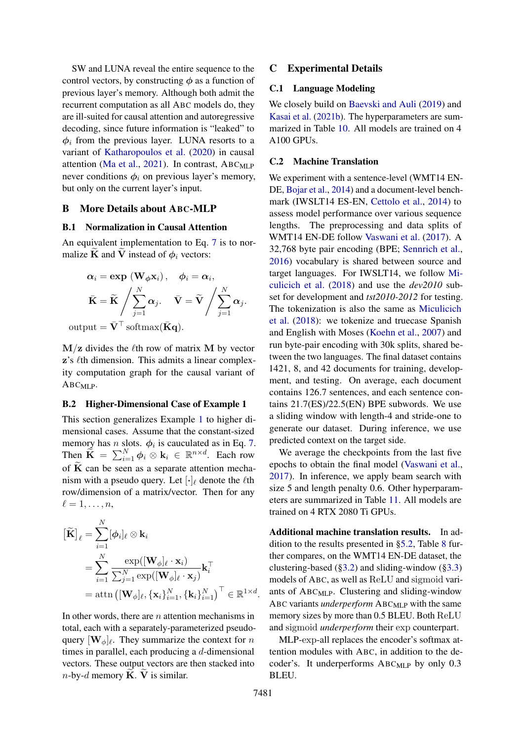SW and LUNA reveal the entire sequence to the control vectors, by constructing  $\phi$  as a function of previous layer's memory. Although both admit the recurrent computation as all ABC models do, they are ill-suited for causal attention and autoregressive decoding, since future information is "leaked" to  $\phi_i$  from the previous layer. LUNA resorts to a variant of [Katharopoulos et al.](#page-9-10) [\(2020\)](#page-9-10) in causal attention [\(Ma et al.,](#page-9-9) [2021\)](#page-9-9). In contrast,  $ABC_{MLP}$ never conditions  $\phi_i$  on previous layer's memory, but only on the current layer's input.

### B More Details about ABC-MLP

### <span id="page-12-1"></span>B.1 Normalization in Causal Attention

An equivalent implementation to Eq. [7](#page-3-5) is to normalize K and V instead of  $\phi_i$  vectors:

$$
\alpha_{i} = \exp (\mathbf{W}_{\phi} \mathbf{x}_{i}), \quad \phi_{i} = \alpha_{i},
$$

$$
\bar{\mathbf{K}} = \widetilde{\mathbf{K}} \Bigg/ \sum_{j=1}^{N} \alpha_{j}. \quad \bar{\mathbf{V}} = \widetilde{\mathbf{V}} \Bigg/ \sum_{j=1}^{N} \alpha_{j}.
$$
output =  $\bar{\mathbf{V}}^{\top}$  softmax( $\bar{\mathbf{K}} \mathbf{q}$ ).

 $M/z$  divides the  $\ell$ th row of matrix M by vector  $z$ 's  $\ell$ th dimension. This admits a linear complexity computation graph for the causal variant of  $ABC_{MLP}$ .

### <span id="page-12-2"></span>B.2 Higher-Dimensional Case of Example 1

This section generalizes Example [1](#page-3-4) to higher dimensional cases. Assume that the constant-sized memory has *n* slots.  $\phi_i$  is cauculated as in Eq. [7.](#page-3-5) Then  $\widetilde{\mathbf{K}} = \sum_{i=1}^{N} \phi_i \otimes \mathbf{k}_i \in \mathbb{R}^{n \times d}$ . Each row of  $\overline{K}$  can be seen as a separate attention mechanism with a pseudo query. Let  $[\cdot]_\ell$  denote the  $\ell$ th row/dimension of a matrix/vector. Then for any  $\ell = 1, \ldots, n$ ,

$$
\begin{aligned}\n\left[\widetilde{\mathbf{K}}\right]_{\ell} &= \sum_{i=1}^{N} [\phi_i]_{\ell} \otimes \mathbf{k}_i \\
&= \sum_{i=1}^{N} \frac{\exp([\mathbf{W}_{\phi}]_{\ell} \cdot \mathbf{x}_i)}{\sum_{j=1}^{N} \exp([\mathbf{W}_{\phi}]_{\ell} \cdot \mathbf{x}_j)} \mathbf{k}_i^{\top} \\
&= \text{attn}\left([\mathbf{W}_{\phi}]_{\ell}, \{\mathbf{x}_i\}_{i=1}^{N}, \{\mathbf{k}_i\}_{i=1}^{N}\right)^{\top} \in \mathbb{R}^{1 \times d}.\n\end{aligned}
$$

In other words, there are  $n$  attention mechanisms in total, each with a separately-parameterized pseudoquery  $[\mathbf{W}_{\phi}]_{\ell}$ . They summarize the context for n times in parallel, each producing a d-dimensional vectors. These output vectors are then stacked into *n*-by-*d* memory  $\widetilde{K}$ .  $\widetilde{V}$  is similar.

### <span id="page-12-3"></span>C Experimental Details

### C.1 Language Modeling

We closely build on [Baevski and Auli](#page-8-4) [\(2019\)](#page-8-4) and [Kasai et al.](#page-9-14) [\(2021b\)](#page-9-14). The hyperparameters are summarized in Table [10.](#page-14-0) All models are trained on 4 A100 GPUs.

### <span id="page-12-0"></span>C.2 Machine Translation

We experiment with a sentence-level (WMT14 EN-DE, [Bojar et al.,](#page-8-6) [2014\)](#page-8-6) and a document-level benchmark (IWSLT14 ES-EN, [Cettolo et al.,](#page-8-7) [2014\)](#page-8-7) to assess model performance over various sequence lengths. The preprocessing and data splits of WMT14 EN-DE follow [Vaswani et al.](#page-10-1) [\(2017\)](#page-10-1). A 32,768 byte pair encoding (BPE; [Sennrich et al.,](#page-9-26) [2016\)](#page-9-26) vocabulary is shared between source and target languages. For IWSLT14, we follow [Mi](#page-9-20)[culicich et al.](#page-9-20) [\(2018\)](#page-9-20) and use the *dev2010* subset for development and *tst2010-2012* for testing. The tokenization is also the same as [Miculicich](#page-9-20) [et al.](#page-9-20) [\(2018\)](#page-9-20): we tokenize and truecase Spanish and English with Moses [\(Koehn et al.,](#page-9-27) [2007\)](#page-9-27) and run byte-pair encoding with 30k splits, shared between the two languages. The final dataset contains 1421, 8, and 42 documents for training, development, and testing. On average, each document contains 126.7 sentences, and each sentence contains 21.7(ES)/22.5(EN) BPE subwords. We use a sliding window with length-4 and stride-one to generate our dataset. During inference, we use predicted context on the target side.

We average the checkpoints from the last five epochs to obtain the final model [\(Vaswani et al.,](#page-10-1) [2017\)](#page-10-1). In inference, we apply beam search with size 5 and length penalty 0.6. Other hyperparameters are summarized in Table [11.](#page-14-1) All models are trained on 4 RTX 2080 Ti GPUs.

Additional machine translation results. In addition to the results presented in [§5.2,](#page-5-1) Table [8](#page-13-0) further compares, on the WMT14 EN-DE dataset, the clustering-based  $(\S3.2)$  and sliding-window  $(\S3.3)$ models of ABC, as well as ReLU and sigmoid variants of ABCMLP. Clustering and sliding-window ABC variants *underperform* ABC<sub>MLP</sub> with the same memory sizes by more than 0.5 BLEU. Both ReLU and sigmoid *underperform* their exp counterpart.

MLP-exp-all replaces the encoder's softmax attention modules with ABC, in addition to the decoder's. It underperforms ABC<sub>MLP</sub> by only 0.3 BLEU.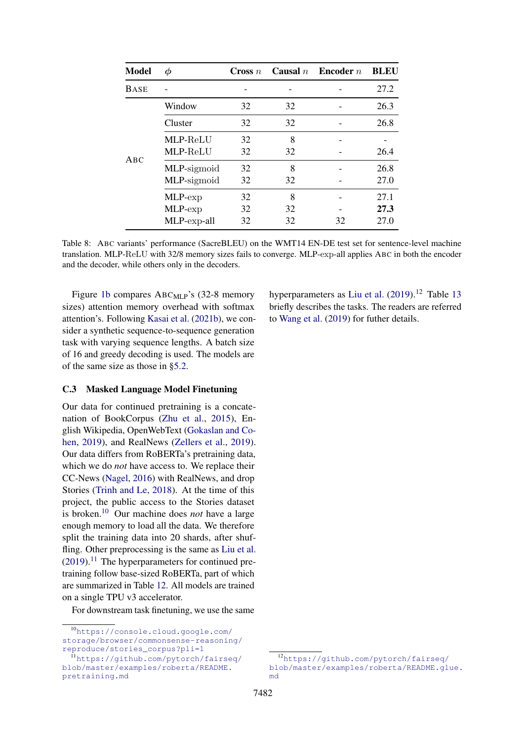<span id="page-13-0"></span>

| <b>Model</b> | Φ           | Cross $n$ |    | Causal $n$ Encoder $n$ | <b>BLEU</b> |
|--------------|-------------|-----------|----|------------------------|-------------|
| <b>BASE</b>  |             |           |    |                        | 27.2        |
|              | Window      | 32        | 32 |                        | 26.3        |
|              | Cluster     | 32        | 32 |                        | 26.8        |
|              | MLP-ReLU    | 32        | 8  |                        |             |
| ABC          | MLP-ReLU    | 32        | 32 |                        | 26.4        |
|              | MLP-sigmoid | 32        | 8  |                        | 26.8        |
|              | MLP-sigmoid | 32        | 32 |                        | 27.0        |
|              | MLP-exp     | 32        | 8  |                        | 27.1        |
|              | MLP-exp     | 32        | 32 |                        | 27.3        |
|              | MLP-exp-all | 32        | 32 | 32                     | 27.0        |

Table 8: ABC variants' performance (SacreBLEU) on the WMT14 EN-DE test set for sentence-level machine translation. MLP-ReLU with 32/8 memory sizes fails to converge. MLP-exp-all applies ABC in both the encoder and the decoder, while others only in the decoders.

Figure [1b](#page-7-1) compares ABC<sub>MLP</sub>'s (32-8 memory sizes) attention memory overhead with softmax attention's. Following [Kasai et al.](#page-9-14) [\(2021b\)](#page-9-14), we consider a synthetic sequence-to-sequence generation task with varying sequence lengths. A batch size of 16 and greedy decoding is used. The models are of the same size as those in [§5.2.](#page-5-1)

# C.3 Masked Language Model Finetuning

Our data for continued pretraining is a concatenation of BookCorpus [\(Zhu et al.,](#page-10-11) [2015\)](#page-10-11), English Wikipedia, OpenWebText [\(Gokaslan and Co](#page-8-8)[hen,](#page-8-8) [2019\)](#page-8-8), and RealNews [\(Zellers et al.,](#page-10-12) [2019\)](#page-10-12). Our data differs from RoBERTa's pretraining data, which we do *not* have access to. We replace their CC-News [\(Nagel,](#page-9-24) [2016\)](#page-9-24) with RealNews, and drop Stories [\(Trinh and Le,](#page-10-14) [2018\)](#page-10-14). At the time of this project, the public access to the Stories dataset is broken.[10](#page-13-1) Our machine does *not* have a large enough memory to load all the data. We therefore split the training data into 20 shards, after shuf-fling. Other preprocessing is the same as [Liu et al.](#page-9-23)  $(2019)$ .<sup>[11](#page-13-2)</sup> The hyperparameters for continued pretraining follow base-sized RoBERTa, part of which are summarized in Table [12.](#page-14-2) All models are trained on a single TPU v3 accelerator.

For downstream task finetuning, we use the same

hyperparameters as [Liu et al.](#page-9-23)  $(2019).^{12}$  $(2019).^{12}$  $(2019).^{12}$  $(2019).^{12}$  Table [13](#page-14-2) briefly describes the tasks. The readers are referred to [Wang et al.](#page-10-13) [\(2019\)](#page-10-13) for futher details.

<span id="page-13-1"></span><sup>10</sup>[https://console.cloud.google.com/](https://console.cloud.google.com/storage/browser/commonsense-reasoning/reproduce/stories_corpus?pli=1) [storage/browser/commonsense-reasoning/](https://console.cloud.google.com/storage/browser/commonsense-reasoning/reproduce/stories_corpus?pli=1) [reproduce/stories\\_corpus?pli=1](https://console.cloud.google.com/storage/browser/commonsense-reasoning/reproduce/stories_corpus?pli=1)

<span id="page-13-2"></span><sup>11</sup>[https://github.com/pytorch/fairseq/](https://github.com/pytorch/fairseq/blob/master/examples/roberta/README.pretraining.md) [blob/master/examples/roberta/README.](https://github.com/pytorch/fairseq/blob/master/examples/roberta/README.pretraining.md) [pretraining.md](https://github.com/pytorch/fairseq/blob/master/examples/roberta/README.pretraining.md)

<span id="page-13-3"></span><sup>12</sup>[https://github.com/pytorch/fairseq/](https://github.com/pytorch/fairseq/blob/master/examples/roberta/README.glue.md) [blob/master/examples/roberta/README.glue.](https://github.com/pytorch/fairseq/blob/master/examples/roberta/README.glue.md) [md](https://github.com/pytorch/fairseq/blob/master/examples/roberta/README.glue.md)